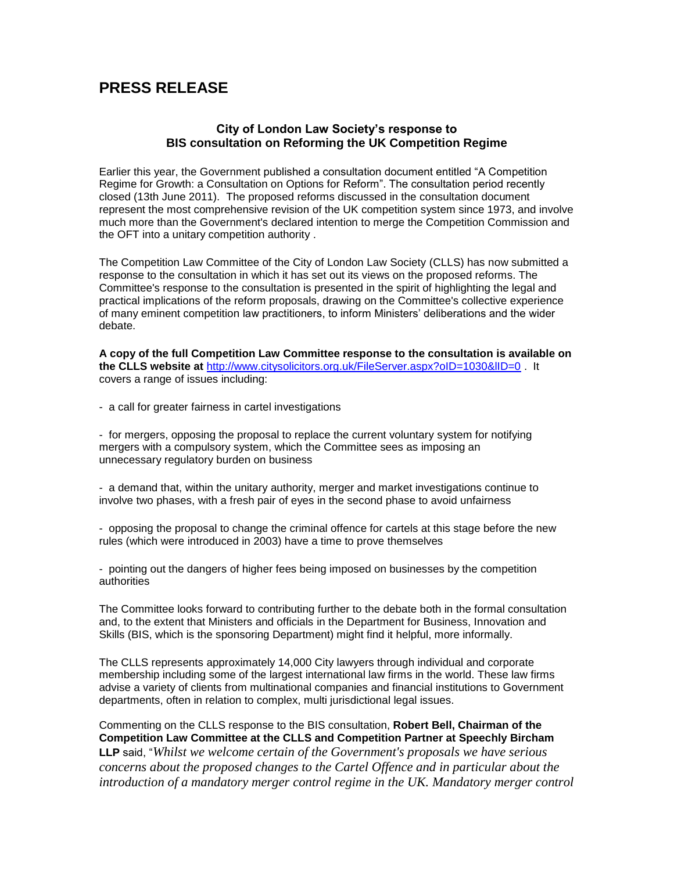# **PRESS RELEASE**

## **City of London Law Society's response to BIS consultation on Reforming the UK Competition Regime**

Earlier this year, the Government published a consultation document entitled "A Competition Regime for Growth: a Consultation on Options for Reform". The consultation period recently closed (13th June 2011). The proposed reforms discussed in the consultation document represent the most comprehensive revision of the UK competition system since 1973, and involve much more than the Government's declared intention to merge the Competition Commission and the OFT into a unitary competition authority .

The Competition Law Committee of the City of London Law Society (CLLS) has now submitted a response to the consultation in which it has set out its views on the proposed reforms. The Committee's response to the consultation is presented in the spirit of highlighting the legal and practical implications of the reform proposals, drawing on the Committee's collective experience of many eminent competition law practitioners, to inform Ministers' deliberations and the wider debate.

**A copy of the full Competition Law Committee response to the consultation is available on the CLLS website at** <http://www.citysolicitors.org.uk/FileServer.aspx?oID=1030&lID=0> . It covers a range of issues including:

- a call for greater fairness in cartel investigations

- for mergers, opposing the proposal to replace the current voluntary system for notifying mergers with a compulsory system, which the Committee sees as imposing an unnecessary regulatory burden on business

- a demand that, within the unitary authority, merger and market investigations continue to involve two phases, with a fresh pair of eyes in the second phase to avoid unfairness

- opposing the proposal to change the criminal offence for cartels at this stage before the new rules (which were introduced in 2003) have a time to prove themselves

- pointing out the dangers of higher fees being imposed on businesses by the competition authorities

The Committee looks forward to contributing further to the debate both in the formal consultation and, to the extent that Ministers and officials in the Department for Business, Innovation and Skills (BIS, which is the sponsoring Department) might find it helpful, more informally.

The CLLS represents approximately 14,000 City lawyers through individual and corporate membership including some of the largest international law firms in the world. These law firms advise a variety of clients from multinational companies and financial institutions to Government departments, often in relation to complex, multi jurisdictional legal issues.

Commenting on the CLLS response to the BIS consultation, **Robert Bell, Chairman of the Competition Law Committee at the CLLS and Competition Partner at Speechly Bircham LLP** said, "*Whilst we welcome certain of the Government's proposals we have serious concerns about the proposed changes to the Cartel Offence and in particular about the introduction of a mandatory merger control regime in the UK. Mandatory merger control*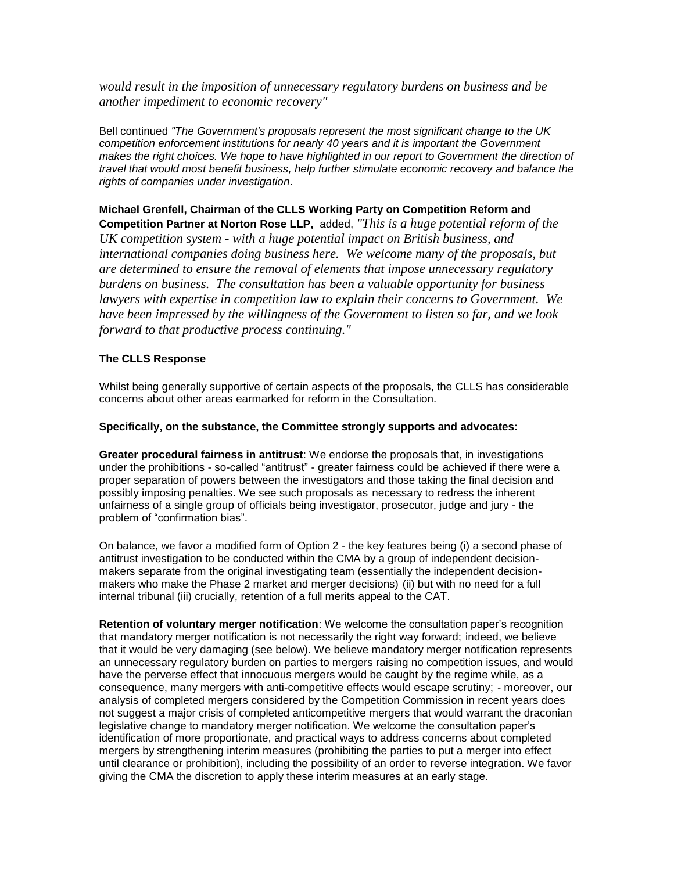*would result in the imposition of unnecessary regulatory burdens on business and be another impediment to economic recovery"*

Bell continued *"The Government's proposals represent the most significant change to the UK competition enforcement institutions for nearly 40 years and it is important the Government*  makes the right choices. We hope to have highlighted in our report to Government the direction of *travel that would most benefit business, help further stimulate economic recovery and balance the rights of companies under investigation*.

**Michael Grenfell, Chairman of the CLLS Working Party on Competition Reform and Competition Partner at Norton Rose LLP,** added, *"This is a huge potential reform of the UK competition system - with a huge potential impact on British business, and international companies doing business here. We welcome many of the proposals, but are determined to ensure the removal of elements that impose unnecessary regulatory burdens on business. The consultation has been a valuable opportunity for business lawyers with expertise in competition law to explain their concerns to Government. We have been impressed by the willingness of the Government to listen so far, and we look forward to that productive process continuing."*

### **The CLLS Response**

Whilst being generally supportive of certain aspects of the proposals, the CLLS has considerable concerns about other areas earmarked for reform in the Consultation.

### **Specifically, on the substance, the Committee strongly supports and advocates:**

**Greater procedural fairness in antitrust**: We endorse the proposals that, in investigations under the prohibitions - so-called "antitrust" - greater fairness could be achieved if there were a proper separation of powers between the investigators and those taking the final decision and possibly imposing penalties. We see such proposals as necessary to redress the inherent unfairness of a single group of officials being investigator, prosecutor, judge and jury - the problem of "confirmation bias".

On balance, we favor a modified form of Option 2 - the key features being (i) a second phase of antitrust investigation to be conducted within the CMA by a group of independent decisionmakers separate from the original investigating team (essentially the independent decisionmakers who make the Phase 2 market and merger decisions) (ii) but with no need for a full internal tribunal (iii) crucially, retention of a full merits appeal to the CAT.

**Retention of voluntary merger notification**: We welcome the consultation paper's recognition that mandatory merger notification is not necessarily the right way forward; indeed, we believe that it would be very damaging (see below). We believe mandatory merger notification represents an unnecessary regulatory burden on parties to mergers raising no competition issues, and would have the perverse effect that innocuous mergers would be caught by the regime while, as a consequence, many mergers with anti-competitive effects would escape scrutiny; - moreover, our analysis of completed mergers considered by the Competition Commission in recent years does not suggest a major crisis of completed anticompetitive mergers that would warrant the draconian legislative change to mandatory merger notification. We welcome the consultation paper's identification of more proportionate, and practical ways to address concerns about completed mergers by strengthening interim measures (prohibiting the parties to put a merger into effect until clearance or prohibition), including the possibility of an order to reverse integration. We favor giving the CMA the discretion to apply these interim measures at an early stage.